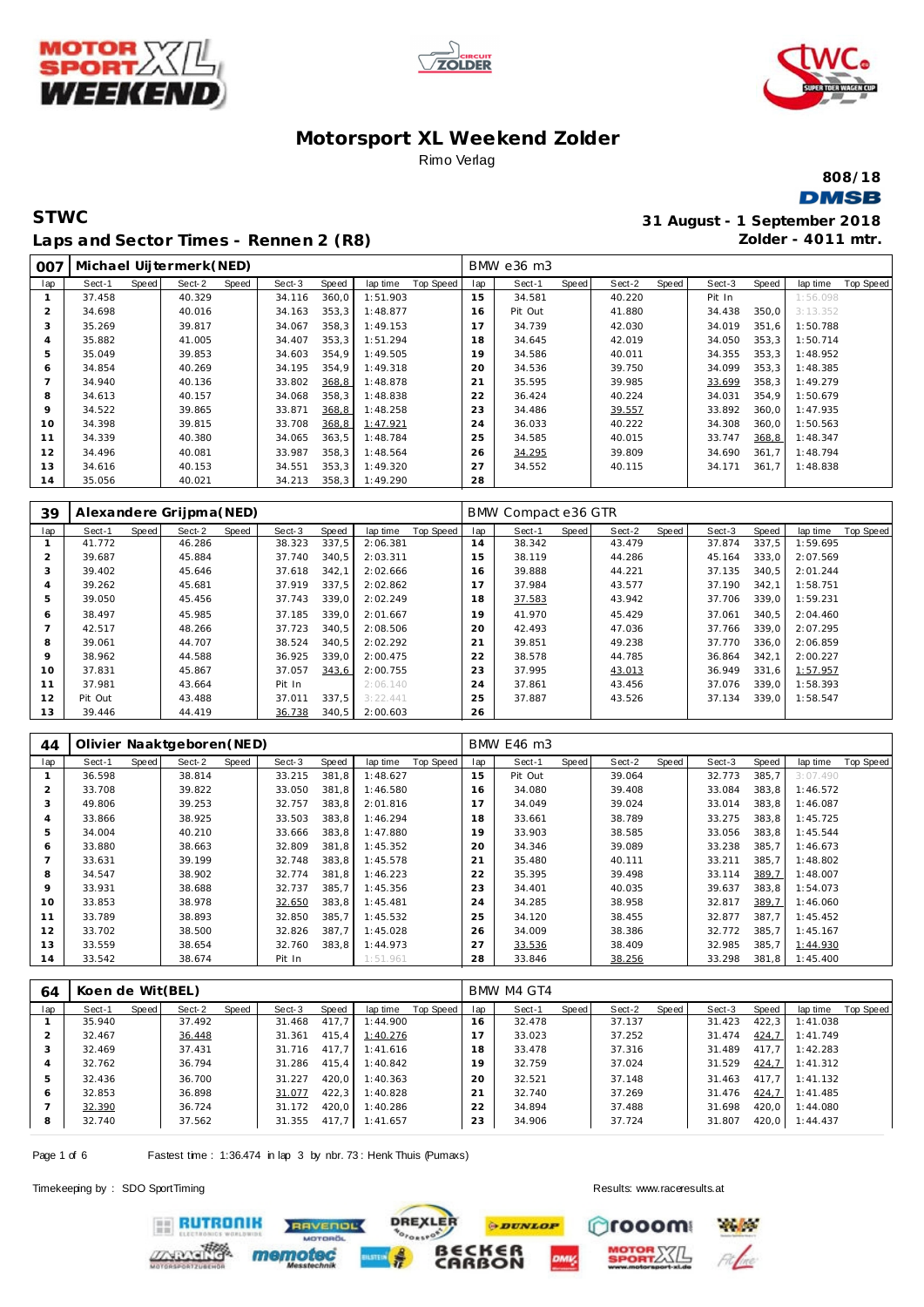





**808/18 DMSB** 

### **STWC 31 August - 1 September 2018 Laps and Sector Times - Rennen 2 (R8)**

**Zolder - 4011 mtr.**

| 007 |        |       | Michael Uijtermerk (NED) |       |        |       |          |           |     | BMW e36 m3 |       |        |       |        |       |          |           |
|-----|--------|-------|--------------------------|-------|--------|-------|----------|-----------|-----|------------|-------|--------|-------|--------|-------|----------|-----------|
| lap | Sect-1 | Speed | Sect-2                   | Speed | Sect-3 | Speed | lap time | Top Speed | lap | Sect-1     | Speed | Sect-2 | Speed | Sect-3 | Speed | lap time | Top Speed |
|     | 37.458 |       | 40.329                   |       | 34.116 | 360,0 | 1:51.903 |           | 15  | 34.581     |       | 40.220 |       | Pit In |       | 1:56.098 |           |
| 2   | 34.698 |       | 40.016                   |       | 34.163 | 353,3 | 1:48.877 |           | 16  | Pit Out    |       | 41.880 |       | 34.438 | 350,0 | 3:13.352 |           |
| 3   | 35.269 |       | 39.817                   |       | 34.067 | 358,3 | 1:49.153 |           | 17  | 34.739     |       | 42.030 |       | 34.019 | 351,6 | 1:50.788 |           |
| 4   | 35.882 |       | 41.005                   |       | 34.407 | 353,3 | 1:51.294 |           | 18  | 34.645     |       | 42.019 |       | 34.050 | 353,3 | 1:50.714 |           |
| 5   | 35.049 |       | 39.853                   |       | 34.603 | 354.9 | 1:49.505 |           | 19  | 34.586     |       | 40.011 |       | 34.355 | 353,3 | 1:48.952 |           |
| 6   | 34.854 |       | 40.269                   |       | 34.195 | 354.9 | 1:49.318 |           | 20  | 34.536     |       | 39.750 |       | 34.099 | 353,3 | 1:48.385 |           |
|     | 34.940 |       | 40.136                   |       | 33.802 | 368,8 | 1:48.878 |           | 21  | 35.595     |       | 39.985 |       | 33.699 | 358,3 | 1:49.279 |           |
| 8   | 34.613 |       | 40.157                   |       | 34.068 | 358,3 | 1:48.838 |           | 22  | 36.424     |       | 40.224 |       | 34.031 | 354,9 | 1:50.679 |           |
| 9   | 34.522 |       | 39.865                   |       | 33.871 | 368,8 | 1:48.258 |           | 23  | 34.486     |       | 39.557 |       | 33.892 | 360,0 | 1:47.935 |           |
| 10  | 34.398 |       | 39.815                   |       | 33.708 | 368,8 | 1:47.921 |           | 24  | 36.033     |       | 40.222 |       | 34.308 | 360,0 | 1:50.563 |           |
| 11  | 34.339 |       | 40.380                   |       | 34.065 | 363,5 | 1:48.784 |           | 25  | 34.585     |       | 40.015 |       | 33.747 | 368,8 | 1:48.347 |           |
| 12  | 34.496 |       | 40.081                   |       | 33.987 | 358,3 | 1:48.564 |           | 26  | 34.295     |       | 39.809 |       | 34.690 | 361.7 | 1:48.794 |           |
| 13  | 34.616 |       | 40.153                   |       | 34.551 | 353,3 | 1:49.320 |           | 27  | 34.552     |       | 40.115 |       | 34.171 | 361,7 | 1:48.838 |           |
| 14  | 35.056 |       | 40.021                   |       | 34.213 | 358,3 | 1:49.290 |           | 28  |            |       |        |       |        |       |          |           |

| 39  |         |       | Alexandere Grijpma(NED) |       |        |       |          |           |                     | BMW Compact e36 GTR |       |        |       |        |       |          |           |
|-----|---------|-------|-------------------------|-------|--------|-------|----------|-----------|---------------------|---------------------|-------|--------|-------|--------|-------|----------|-----------|
| lap | Sect-1  | Speed | Sect-2                  | Speed | Sect-3 | Speed | lap time | Top Speed | lap                 | Sect-1              | Speed | Sect-2 | Speed | Sect-3 | Speed | lap time | Top Speed |
|     | 41.772  |       | 46.286                  |       | 38.323 | 337,5 | 2:06.381 |           | 14                  | 38.342              |       | 43.479 |       | 37.874 | 337.5 | 1:59.695 |           |
|     | 39.687  |       | 45.884                  |       | 37.740 | 340,5 | 2:03.311 |           | 15                  | 38.119              |       | 44.286 |       | 45.164 | 333,0 | 2:07.569 |           |
| 3   | 39.402  |       | 45.646                  |       | 37.618 | 342,1 | 2:02.666 |           | 16                  | 39.888              |       | 44.221 |       | 37.135 | 340.5 | 2:01.244 |           |
| 4   | 39.262  |       | 45.681                  |       | 37.919 | 337,5 | 2:02.862 |           | 1<br>$\overline{7}$ | 37.984              |       | 43.577 |       | 37.190 | 342.1 | 1:58.751 |           |
| 5   | 39.050  |       | 45.456                  |       | 37.743 | 339,0 | 2:02.249 |           | 18                  | 37.583              |       | 43.942 |       | 37.706 | 339.0 | 1:59.231 |           |
| 6   | 38.497  |       | 45.985                  |       | 37.185 | 339.0 | 2:01.667 |           | 19                  | 41.970              |       | 45.429 |       | 37.061 | 340.5 | 2:04.460 |           |
|     | 42.517  |       | 48.266                  |       | 37.723 | 340.5 | 2:08.506 |           | 20                  | 42.493              |       | 47.036 |       | 37.766 | 339.0 | 2:07.295 |           |
| 8   | 39.061  |       | 44.707                  |       | 38.524 | 340.5 | 2:02.292 |           | 21                  | 39.851              |       | 49.238 |       | 37.770 | 336.0 | 2:06.859 |           |
| 9   | 38.962  |       | 44.588                  |       | 36.925 | 339.0 | 2:00.475 |           | 22                  | 38.578              |       | 44.785 |       | 36.864 | 342.1 | 2:00.227 |           |
| 10  | 37.831  |       | 45.867                  |       | 37.057 | 343,6 | 2:00.755 |           | 23                  | 37.995              |       | 43.013 |       | 36.949 | 331.6 | 1:57.957 |           |
|     | 37.981  |       | 43.664                  |       | Pit In |       | 2:06.140 |           | 24                  | 37.861              |       | 43.456 |       | 37.076 | 339.0 | 1:58.393 |           |
| 12  | Pit Out |       | 43.488                  |       | 37.011 | 337,5 | 3:22.441 |           | 25                  | 37.887              |       | 43.526 |       | 37.134 | 339,0 | 1:58.547 |           |
| 13  | 39.446  |       | 44.419                  |       | 36.738 | 340,5 | 2:00.603 |           | 26                  |                     |       |        |       |        |       |          |           |

| 44             | Olivier Naaktgeboren (NED) |       |        |       |        |       |          |           |     | BMW E46 m3 |       |        |       |        |       |          |                  |
|----------------|----------------------------|-------|--------|-------|--------|-------|----------|-----------|-----|------------|-------|--------|-------|--------|-------|----------|------------------|
| lap            | Sect-1                     | Speed | Sect-2 | Speed | Sect-3 | Speed | lap time | Top Speed | lap | Sect-1     | Speed | Sect-2 | Speed | Sect-3 | Speed | lap time | <b>Top Speed</b> |
|                | 36.598                     |       | 38.814 |       | 33.215 | 381.8 | 1:48.627 |           | 15  | Pit Out    |       | 39.064 |       | 32.773 | 385.7 | 3:07.490 |                  |
| $\overline{2}$ | 33.708                     |       | 39.822 |       | 33.050 | 381.8 | 1:46.580 |           | 16  | 34.080     |       | 39.408 |       | 33.084 | 383.8 | 1:46.572 |                  |
| 3              | 49.806                     |       | 39.253 |       | 32.757 | 383.8 | 2:01.816 |           | 17  | 34.049     |       | 39.024 |       | 33.014 | 383.8 | 1:46.087 |                  |
| 4              | 33.866                     |       | 38.925 |       | 33.503 | 383,8 | 1:46.294 |           | 18  | 33.661     |       | 38.789 |       | 33.275 | 383,8 | 1:45.725 |                  |
| 5              | 34.004                     |       | 40.210 |       | 33.666 | 383,8 | 1:47.880 |           | 19  | 33.903     |       | 38.585 |       | 33.056 | 383,8 | 1:45.544 |                  |
| 6              | 33.880                     |       | 38.663 |       | 32.809 | 381.8 | 1:45.352 |           | 20  | 34.346     |       | 39.089 |       | 33.238 | 385.7 | 1:46.673 |                  |
|                | 33.631                     |       | 39.199 |       | 32.748 | 383,8 | 1:45.578 |           | 21  | 35.480     |       | 40.111 |       | 33.211 | 385,7 | 1:48.802 |                  |
| 8              | 34.547                     |       | 38.902 |       | 32.774 | 381.8 | 1:46.223 |           | 22  | 35.395     |       | 39.498 |       | 33.114 | 389,7 | 1:48.007 |                  |
| $\circ$        | 33.931                     |       | 38.688 |       | 32.737 | 385,7 | 1:45.356 |           | 23  | 34.401     |       | 40.035 |       | 39.637 | 383,8 | 1:54.073 |                  |
| 10             | 33.853                     |       | 38.978 |       | 32.650 | 383,8 | 1:45.481 |           | 24  | 34.285     |       | 38.958 |       | 32.817 | 389,7 | 1:46.060 |                  |
| 11             | 33.789                     |       | 38.893 |       | 32.850 | 385.7 | 1:45.532 |           | 25  | 34.120     |       | 38.455 |       | 32.877 | 387.7 | 1:45.452 |                  |
| 12             | 33.702                     |       | 38.500 |       | 32.826 | 387.7 | 1:45.028 |           | 26  | 34.009     |       | 38.386 |       | 32.772 | 385.7 | 1:45.167 |                  |
| 13             | 33.559                     |       | 38.654 |       | 32.760 | 383.8 | 1:44.973 |           | 27  | 33.536     |       | 38.409 |       | 32.985 | 385,7 | 1:44.930 |                  |
| 14             | 33.542                     |       | 38.674 |       | Pit In |       | 1:51.961 |           | 28  | 33.846     |       | 38.256 |       | 33.298 | 381,8 | 1:45.400 |                  |

| 64      | Koen de Wit(BEL) |       |        |       |        |       |          |           |     | BMW M4 GT4 |       |        |       |        |       |          |           |
|---------|------------------|-------|--------|-------|--------|-------|----------|-----------|-----|------------|-------|--------|-------|--------|-------|----------|-----------|
| lap     | Sect-1           | Speed | Sect-2 | Speed | Sect-3 | Speed | lap time | Top Speed | lap | Sect-1     | Speed | Sect-2 | Speed | Sect-3 | Speed | lap time | Top Speed |
|         | 35.940           |       | 37.492 |       | 31.468 | 417.7 | 1:44.900 |           | 16  | 32.478     |       | 37.137 |       | 31.423 | 422.3 | 1:41.038 |           |
|         | 32.467           |       | 36.448 |       | 31.361 | 415.4 | 1:40.276 |           |     | 33.023     |       | 37.252 |       | 31.474 | 424.7 | 1:41.749 |           |
| $\cdot$ | 32.469           |       | 37.431 |       | 31.716 | 417.7 | 1:41.616 |           | 18  | 33.478     |       | 37.316 |       | 31.489 | 417.7 | 1:42.283 |           |
|         | 32.762           |       | 36.794 |       | 31.286 | 415.4 | 1:40.842 |           | 19  | 32.759     |       | 37.024 |       | 31.529 | 424,7 | 1:41.312 |           |
|         | 32.436           |       | 36.700 |       | 31.227 | 420.0 | 1:40.363 |           | 20  | 32.521     |       | 37.148 |       | 31.463 | 417.7 | 1:41.132 |           |
| 6       | 32.853           |       | 36.898 |       | 31.077 | 422.3 | 1:40.828 |           | 21  | 32.740     |       | 37.269 |       | 31.476 | 424.7 | 1:41.485 |           |
|         | 32.390           |       | 36.724 |       | 31.172 | 420.0 | 1:40.286 |           | 22  | 34.894     |       | 37.488 |       | 31.698 | 420.0 | 1:44.080 |           |
| -8      | 32.740           |       | 37.562 |       | 31.355 | 417.7 | 1:41.657 |           | 23  | 34.906     |       | 37.724 |       | 31.807 | 420,0 | 1:44.437 |           |

Page 1 of 6 Fastest time : 1:36.474 in lap 3 by nbr. 73 : Henk Thuis (Pumaxs)

**TVENDL** 

**ERUTRONIK** 

Timekeeping by : SDO SportTiming Results:<www.raceresults.at>

**DREXLER PDUNLOP** rooom ັ6R<br>ON

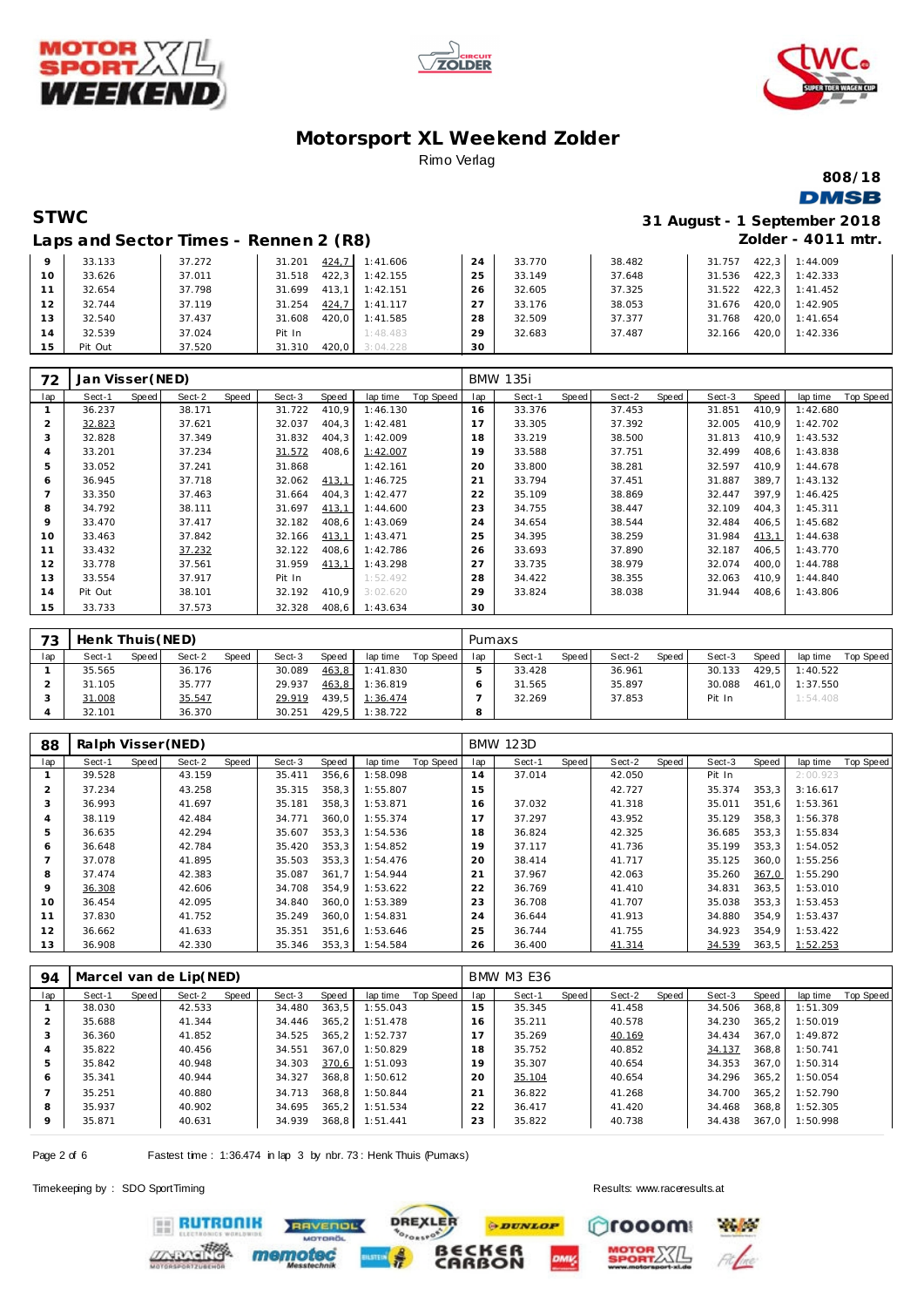





**808/18**

### **DMSB**

### **STWC 31 August - 1 September 2018 Zolder - 4011 mtr.**

|         |         | Laps and Sector Times - Rennen 2 (R8) |                 |          |    |        |        |        | Zolder - 4011 r  |
|---------|---------|---------------------------------------|-----------------|----------|----|--------|--------|--------|------------------|
| $\circ$ | 33.133  | 37.272                                | 424.7<br>31.201 | 1:41.606 | 24 | 33.770 | 38.482 | 31.757 | 422.3 1:44.009   |
| 10      | 33.626  | 37.011                                | 422.3<br>31.518 | 1:42.155 | 25 | 33.149 | 37.648 | 31.536 | $422.3$ 1:42.333 |
| 11      | 32.654  | 37.798                                | 413.1<br>31.699 | 1:42.151 | 26 | 32.605 | 37.325 | 31.522 | $422.3$ 1:41.452 |
| 12      | 32.744  | 37.119                                | 424.7<br>31.254 | 1:41.117 | 27 | 33.176 | 38.053 | 31.676 | 420.0 1:42.905   |
| 13      | 32.540  | 37.437                                | 420.0<br>31.608 | 1:41.585 | 28 | 32.509 | 37.377 | 31.768 | 420.0 1:41.654   |
| 14      | 32.539  | 37.024                                | Pit In          | 1:48.483 | 29 | 32.683 | 37.487 | 32.166 | 420.0 1:42.336   |
| 15      | Pit Out | 37.520                                | 420.0<br>31.310 | 3:04.228 | 30 |        |        |        |                  |

|                | Jan Visser (NED) |       |        |       |        |       |          |           |     | <b>BMW 135i</b> |       |        |       |        |       |          |           |
|----------------|------------------|-------|--------|-------|--------|-------|----------|-----------|-----|-----------------|-------|--------|-------|--------|-------|----------|-----------|
| 72             |                  |       |        |       |        |       |          |           |     |                 |       |        |       |        |       |          |           |
| lap            | Sect-1           | Speed | Sect-2 | Speed | Sect-3 | Speed | lap time | Top Speed | lap | Sect-1          | Speed | Sect-2 | Speed | Sect-3 | Speed | lap time | Top Speed |
|                | 36.237           |       | 38.171 |       | 31.722 | 410,9 | 1:46.130 |           | 16  | 33.376          |       | 37.453 |       | 31.851 | 410,9 | 1:42.680 |           |
| $\overline{2}$ | 32.823           |       | 37.621 |       | 32.037 | 404,3 | 1:42.481 |           | 17  | 33.305          |       | 37.392 |       | 32.005 | 410,9 | 1:42.702 |           |
| 3              | 32.828           |       | 37.349 |       | 31.832 | 404,3 | 1:42.009 |           | 18  | 33.219          |       | 38.500 |       | 31.813 | 410,9 | 1:43.532 |           |
| 4              | 33.201           |       | 37.234 |       | 31.572 | 408,6 | 1:42.007 |           | 19  | 33.588          |       | 37.751 |       | 32.499 | 408,6 | 1:43.838 |           |
| 5              | 33.052           |       | 37.241 |       | 31.868 |       | 1:42.161 |           | 20  | 33.800          |       | 38.281 |       | 32.597 | 410.9 | 1:44.678 |           |
| 6              | 36.945           |       | 37.718 |       | 32.062 | 413,1 | 1:46.725 |           | 21  | 33.794          |       | 37.451 |       | 31.887 | 389.7 | 1:43.132 |           |
|                | 33.350           |       | 37.463 |       | 31.664 | 404.3 | 1:42.477 |           | 22  | 35.109          |       | 38.869 |       | 32.447 | 397.9 | 1:46.425 |           |
| 8              | 34.792           |       | 38.111 |       | 31.697 | 413,1 | 1:44.600 |           | 23  | 34.755          |       | 38.447 |       | 32.109 | 404,3 | 1:45.311 |           |
| 9              | 33.470           |       | 37.417 |       | 32.182 | 408,6 | 1:43.069 |           | 24  | 34.654          |       | 38.544 |       | 32.484 | 406,5 | 1:45.682 |           |
| 10             | 33.463           |       | 37.842 |       | 32.166 | 413,1 | 1:43.471 |           | 25  | 34.395          |       | 38.259 |       | 31.984 | 413,1 | 1:44.638 |           |
| 11             | 33.432           |       | 37.232 |       | 32.122 | 408,6 | 1:42.786 |           | 26  | 33.693          |       | 37.890 |       | 32.187 | 406,5 | 1:43.770 |           |
| 12             | 33.778           |       | 37.561 |       | 31.959 | 413,1 | 1:43.298 |           | 27  | 33.735          |       | 38.979 |       | 32.074 | 400,0 | 1:44.788 |           |
| 13             | 33.554           |       | 37.917 |       | Pit In |       | 1:52.492 |           | 28  | 34.422          |       | 38.355 |       | 32.063 | 410,9 | 1:44.840 |           |
| 14             | Pit Out          |       | 38.101 |       | 32.192 | 410.9 | 3:02.620 |           | 29  | 33.824          |       | 38.038 |       | 31.944 | 408,6 | 1:43.806 |           |
| 15             | 33.733           |       | 37.573 |       | 32.328 | 408.6 | 1:43.634 |           | 30  |                 |       |        |       |        |       |          |           |

| フつ  | Henk Thuis (NED) |       |        |       |        |       |          |           | Pumaxs |        |       |        |       |        |       |          |           |
|-----|------------------|-------|--------|-------|--------|-------|----------|-----------|--------|--------|-------|--------|-------|--------|-------|----------|-----------|
| lap | Sect-1           | Speed | Sect-2 | Speed | Sect-3 | Speed | lap time | Top Speed | lap    | Sect-1 | Speed | Sect-2 | Speed | Sect-3 | Speed | lap time | Top Speed |
|     | 35.565           |       | 36.176 |       | 30.089 | 463,8 | 1:41.830 |           |        | 33.428 |       | 36.961 |       | 30.133 | 429.5 | 1:40.522 |           |
|     | 31.105           |       | 35.777 |       | 29.937 | 463,8 | 1:36.819 |           |        | 31.565 |       | 35.897 |       | 30.088 | 461.0 | 1:37.550 |           |
|     | 31.008           |       | 35.547 |       | 29.919 | 439.5 | 1:36.474 |           |        | 32.269 |       | 37.853 |       | Pit In |       | 1:54.408 |           |
|     | 32.101           |       | 36.370 |       | 30.251 | 429.5 | 1:38.722 |           | 8      |        |       |        |       |        |       |          |           |

| 88           | Ralph Visser (NED) |       |        |       |        |       |          |           |     | <b>BMW 123D</b> |       |        |       |        |       |          |           |
|--------------|--------------------|-------|--------|-------|--------|-------|----------|-----------|-----|-----------------|-------|--------|-------|--------|-------|----------|-----------|
| lap          | Sect-1             | Speed | Sect-2 | Speed | Sect-3 | Speed | lap time | Top Speed | lap | Sect-1          | Speed | Sect-2 | Speed | Sect-3 | Speed | lap time | Top Speed |
|              | 39.528             |       | 43.159 |       | 35.411 | 356,6 | 1:58.098 |           | 14  | 37.014          |       | 42.050 |       | Pit In |       | 2:00.923 |           |
|              | 37.234             |       | 43.258 |       | 35.315 | 358,3 | 1:55.807 |           | 15  |                 |       | 42.727 |       | 35.374 | 353,3 | 3:16.617 |           |
| 3            | 36.993             |       | 41.697 |       | 35.181 | 358,3 | 1:53.871 |           | 16  | 37.032          |       | 41.318 |       | 35.011 | 351.6 | 1:53.361 |           |
|              | 38.119             |       | 42.484 |       | 34.771 | 360.0 | 1:55.374 |           |     | 37.297          |       | 43.952 |       | 35.129 | 358.3 | 1:56.378 |           |
| 5            | 36.635             |       | 42.294 |       | 35.607 | 353,3 | 1:54.536 |           | 18  | 36.824          |       | 42.325 |       | 36.685 | 353,3 | 1:55.834 |           |
| <sub>6</sub> | 36.648             |       | 42.784 |       | 35.420 | 353,3 | 1:54.852 |           | 19  | 37.117          |       | 41.736 |       | 35.199 | 353.3 | 1:54.052 |           |
|              | 37.078             |       | 41.895 |       | 35.503 | 353,3 | 1:54.476 |           | 20  | 38.414          |       | 41.717 |       | 35.125 | 360,0 | 1:55.256 |           |
| 8            | 37.474             |       | 42.383 |       | 35.087 | 361.7 | 1:54.944 |           | 21  | 37.967          |       | 42.063 |       | 35.260 | 367,0 | 1:55.290 |           |
| $\circ$      | 36.308             |       | 42.606 |       | 34.708 | 354.9 | 1:53.622 |           | 22  | 36.769          |       | 41.410 |       | 34.831 | 363.5 | 1:53.010 |           |
| 10           | 36.454             |       | 42.095 |       | 34.840 | 360,0 | 1:53.389 |           | 23  | 36.708          |       | 41.707 |       | 35.038 | 353,3 | 1:53.453 |           |
| 11           | 37.830             |       | 41.752 |       | 35.249 | 360,0 | 1:54.831 |           | 24  | 36.644          |       | 41.913 |       | 34.880 | 354.9 | 1:53.437 |           |
| 12           | 36.662             |       | 41.633 |       | 35.351 | 351.6 | 1:53.646 |           | 25  | 36.744          |       | 41.755 |       | 34.923 | 354.9 | 1:53.422 |           |
| 13           | 36.908             |       | 42.330 |       | 35.346 | 353,3 | 1:54.584 |           | 26  | 36.400          |       | 41.314 |       | 34.539 | 363,5 | 1:52.253 |           |

| 94           |        |       | Marcel van de Lip(NED) |       |        |       |          |           |     | <b>BMW M3 E36</b> |       |        |       |        |       |          |           |
|--------------|--------|-------|------------------------|-------|--------|-------|----------|-----------|-----|-------------------|-------|--------|-------|--------|-------|----------|-----------|
| lap          | Sect-1 | Speed | Sect-2                 | Speed | Sect-3 | Speed | lap time | Top Speed | lap | Sect-1            | Speed | Sect-2 | Speed | Sect-3 | Speed | lap time | Top Speed |
|              | 38.030 |       | 42.533                 |       | 34.480 | 363,5 | 1:55.043 |           | 15  | 35.345            |       | 41.458 |       | 34.506 | 368.8 | 1:51.309 |           |
|              | 35.688 |       | 41.344                 |       | 34.446 | 365.2 | 1:51.478 |           | 16  | 35.211            |       | 40.578 |       | 34.230 | 365.2 | 1:50.019 |           |
| $\cdot$      | 36.360 |       | 41.852                 |       | 34.525 | 365.2 | 1:52.737 |           |     | 35.269            |       | 40.169 |       | 34.434 | 367.0 | 1:49.872 |           |
|              | 35.822 |       | 40.456                 |       | 34.551 | 367.0 | 1:50.829 |           | 18  | 35.752            |       | 40.852 |       | 34.137 | 368.8 | 1:50.741 |           |
|              | 35.842 |       | 40.948                 |       | 34.303 | 370.6 | 1:51.093 |           | 19  | 35.307            |       | 40.654 |       | 34.353 | 367.0 | 1:50.314 |           |
| <sub>6</sub> | 35.341 |       | 40.944                 |       | 34.327 | 368.8 | 1:50.612 |           | 20  | 35.104            |       | 40.654 |       | 34.296 | 365.2 | 1:50.054 |           |
|              | 35.251 |       | 40.880                 |       | 34.713 | 368.8 | 1:50.844 |           | 21  | 36.822            |       | 41.268 |       | 34.700 | 365.2 | 1:52.790 |           |
| 8            | 35.937 |       | 40.902                 |       | 34.695 | 365.2 | 1:51.534 |           | 22  | 36.417            |       | 41.420 |       | 34.468 | 368.8 | 1:52.305 |           |
| 9            | 35.871 |       | 40.631                 |       | 34.939 | 368,8 | 1:51.441 |           | 23  | 35.822            |       | 40.738 |       | 34.438 | 367,0 | 1:50.998 |           |

Page 2 of 6 Fastest time : 1:36.474 in lap 3 by nbr. 73 : Henk Thuis (Pumaxs)

mem

Timekeeping by : SDO SportTiming Results:<www.raceresults.at>





**RUTRONIK RAVENOL**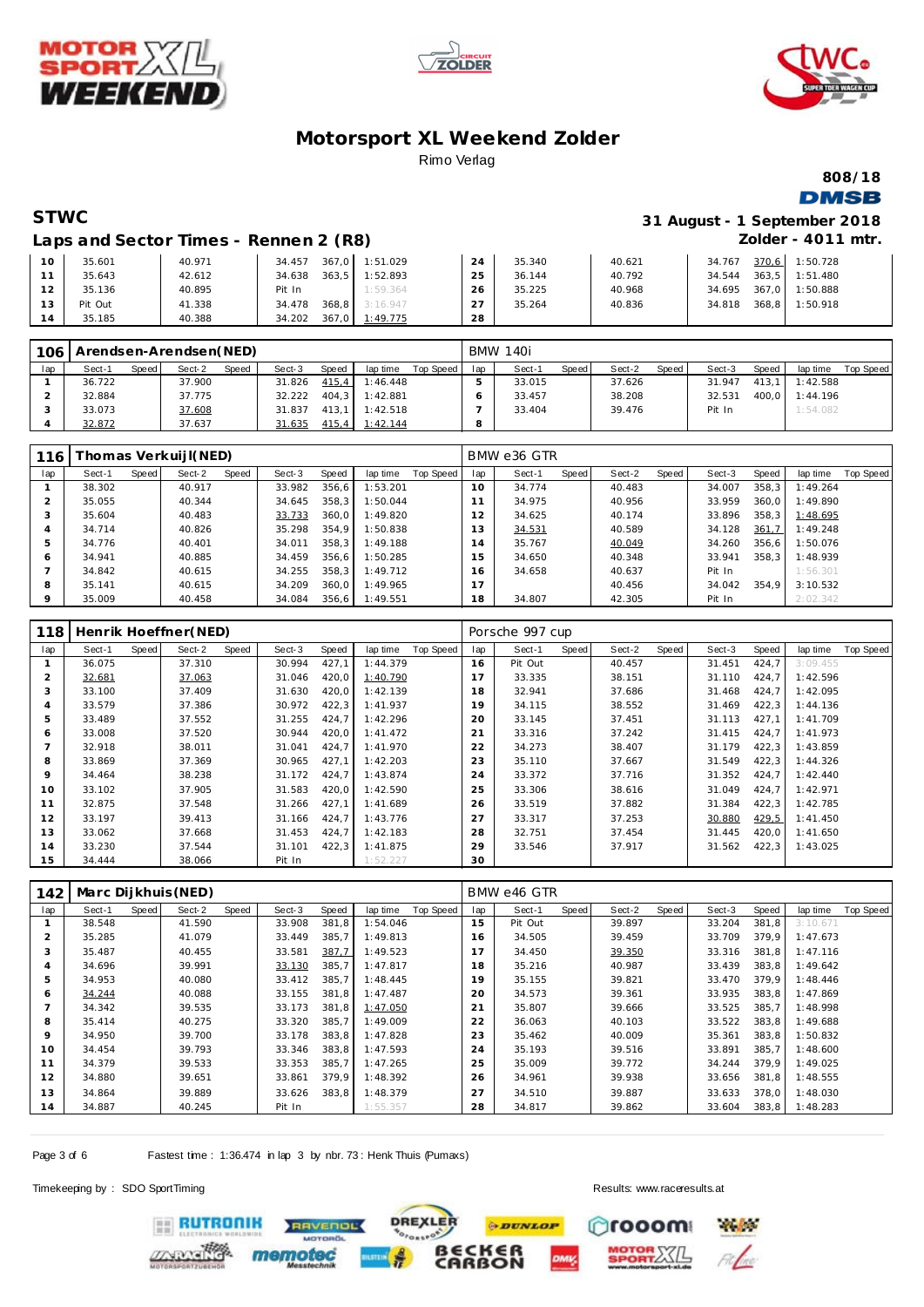





**808/18 DMSB** 

**STWC 31 August - 1 September 2018 Zolder - 4011 mtr.**

| Laps and Sector Times - Rennen 2 (R8) |  |  |  |
|---------------------------------------|--|--|--|
|---------------------------------------|--|--|--|

| 10  | 35.601  | 40.971 | 34.457          | 367,0 1:51.029 | 24        | 35.340 | 40.621 | 34.767 | 370,6 | 1:50.728 |
|-----|---------|--------|-----------------|----------------|-----------|--------|--------|--------|-------|----------|
|     | 35.643  | 42.612 | 363.5<br>34.638 | 1:52.893       | 25        | 36.144 | 40.792 | 34.544 | 363.5 | 1:51.480 |
| 12  | 35.136  | 40.895 | Pit In          | 1:59.364       | 26        | 35.225 | 40.968 | 34.695 | 367.0 | 1:50.888 |
| 13  | Pit Out | 41.338 | 368.8<br>34.478 | 3:16.947       | $\bigcap$ | 35.264 | 40.836 | 34.818 | 368.8 | 1:50.918 |
| l 4 | 35.185  | 40.388 | 367.0<br>34.202 | 1:49.775       | 28        |        |        |        |       |          |

| 106 | Arendsen-Arendsen(NED) |       |        |       |        |       |                    |           |     | <b>BMW 140i</b> |       |        |       |        |       |          |           |
|-----|------------------------|-------|--------|-------|--------|-------|--------------------|-----------|-----|-----------------|-------|--------|-------|--------|-------|----------|-----------|
| lap | Sect-1                 | Speed | Sect-2 | Speed | Sect-3 | Speed | lap time           | Top Speed | lap | Sect-1          | Speed | Sect-2 | Speed | Sect-3 | Speed | lap time | Top Speed |
|     | 36.722                 |       | 37.900 |       | 31.826 | 415,4 | 1:46.448           |           |     | 33.015          |       | 37.626 |       | 31.947 | 413.1 | 1:42.588 |           |
|     | 32.884                 |       | 37.775 |       | 32.222 | 404.3 | 1:42.881           |           |     | 33.457          |       | 38.208 |       | 32.531 | 400.0 | 1:44.196 |           |
|     | 33.073                 |       | 37.608 |       | 31.837 | 413.1 | 1:42.518           |           |     | 33.404          |       | 39.476 |       | Pit In |       | 1:54.082 |           |
|     | 32.872                 |       | 37.637 |       | 31.635 |       | $415.4$ $1:42.144$ |           | 8   |                 |       |        |       |        |       |          |           |

| 116     |        |       | [homas Verkuijl(NED) |       |        |       |          |           |     | BMW e36 GTR |       |        |       |        |       |          |           |
|---------|--------|-------|----------------------|-------|--------|-------|----------|-----------|-----|-------------|-------|--------|-------|--------|-------|----------|-----------|
| lap     | Sect-1 | Speed | Sect-2               | Speed | Sect-3 | Speed | lap time | Top Speed | lap | Sect-1      | Speed | Sect-2 | Speed | Sect-3 | Speed | lap time | Top Speed |
|         | 38.302 |       | 40.917               |       | 33.982 | 356.6 | 1:53.201 |           | 10  | 34.774      |       | 40.483 |       | 34.007 | 358.3 | 1:49.264 |           |
|         | 35.055 |       | 40.344               |       | 34.645 | 358.3 | 1:50.044 |           |     | 34.975      |       | 40.956 |       | 33.959 | 360.0 | 1:49.890 |           |
| 3       | 35.604 |       | 40.483               |       | 33.733 | 360.0 | 1:49.820 |           | i 2 | 34.625      |       | 40.174 |       | 33.896 | 358.3 | 1:48.695 |           |
| 4       | 34.714 |       | 40.826               |       | 35.298 | 354.9 | 1:50.838 |           | l 3 | 34.531      |       | 40.589 |       | 34.128 | 361,7 | 1:49.248 |           |
| ь       | 34.776 |       | 40.401               |       | 34.011 | 358.3 | 1:49.188 |           | 14  | 35.767      |       | 40.049 |       | 34.260 | 356.6 | 1:50.076 |           |
| 6       | 34.941 |       | 40.885               |       | 34.459 | 356.6 | 1:50.285 |           | 15  | 34.650      |       | 40.348 |       | 33.941 | 358.3 | 1:48.939 |           |
|         | 34.842 |       | 40.615               |       | 34.255 | 358.3 | 1:49.712 |           | 16  | 34.658      |       | 40.637 |       | Pit In |       | 1:56.301 |           |
| 8       | 35.141 |       | 40.615               |       | 34.209 | 360.0 | 1:49.965 |           |     |             |       | 40.456 |       | 34.042 | 354.9 | 3:10.532 |           |
| $\circ$ | 35.009 |       | 40.458               |       | 34.084 | 356.6 | 1:49.551 |           | 18  | 34.807      |       | 42.305 |       | Pit In |       | 2:02.342 |           |

| 118 |        |       | Henrik Hoeffner (NED) |       |        |       |          |           |     | Porsche 997 cup |       |        |       |        |       |          |           |
|-----|--------|-------|-----------------------|-------|--------|-------|----------|-----------|-----|-----------------|-------|--------|-------|--------|-------|----------|-----------|
| lap | Sect-1 | Speed | Sect-2                | Speed | Sect-3 | Speed | lap time | Top Speed | lap | Sect-1          | Speed | Sect-2 | Speed | Sect-3 | Speed | lap time | Top Speed |
|     | 36.075 |       | 37.310                |       | 30.994 | 427,1 | 1:44.379 |           | 16  | Pit Out         |       | 40.457 |       | 31.451 | 424,7 | 3:09.455 |           |
| 2   | 32.681 |       | 37.063                |       | 31.046 | 420,0 | 1:40.790 |           |     | 33.335          |       | 38.151 |       | 31.110 | 424,7 | 1:42.596 |           |
| 3   | 33.100 |       | 37.409                |       | 31.630 | 420,0 | 1:42.139 |           | 18  | 32.941          |       | 37.686 |       | 31.468 | 424,7 | 1:42.095 |           |
| 4   | 33.579 |       | 37.386                |       | 30.972 | 422,3 | 1:41.937 |           | 19  | 34.115          |       | 38.552 |       | 31.469 | 422,3 | 1:44.136 |           |
| 5   | 33.489 |       | 37.552                |       | 31.255 | 424,7 | 1:42.296 |           | 20  | 33.145          |       | 37.451 |       | 31.113 | 427,1 | 1:41.709 |           |
| 6   | 33.008 |       | 37.520                |       | 30.944 | 420,0 | 1:41.472 |           | 21  | 33.316          |       | 37.242 |       | 31.415 | 424,7 | 1:41.973 |           |
|     | 32.918 |       | 38.011                |       | 31.041 | 424,7 | 1:41.970 |           | 22  | 34.273          |       | 38.407 |       | 31.179 | 422,3 | 1:43.859 |           |
| 8   | 33.869 |       | 37.369                |       | 30.965 | 427.1 | 1:42.203 |           | 23  | 35.110          |       | 37.667 |       | 31.549 | 422,3 | 1:44.326 |           |
| 9   | 34.464 |       | 38.238                |       | 31.172 | 424.7 | 1:43.874 |           | 24  | 33.372          |       | 37.716 |       | 31.352 | 424.7 | 1:42.440 |           |
| 10  | 33.102 |       | 37.905                |       | 31.583 | 420,0 | 1:42.590 |           | 25  | 33.306          |       | 38.616 |       | 31.049 | 424,7 | 1:42.971 |           |
| 11  | 32.875 |       | 37.548                |       | 31.266 | 427,1 | 1:41.689 |           | 26  | 33.519          |       | 37.882 |       | 31.384 | 422,3 | 1:42.785 |           |
| 12  | 33.197 |       | 39.413                |       | 31.166 | 424.7 | 1:43.776 |           | 27  | 33.317          |       | 37.253 |       | 30.880 | 429,5 | 1:41.450 |           |
| 13  | 33.062 |       | 37.668                |       | 31.453 | 424.7 | 1:42.183 |           | 28  | 32.751          |       | 37.454 |       | 31.445 | 420,0 | 1:41.650 |           |
| 14  | 33.230 |       | 37.544                |       | 31.101 | 422,3 | 1:41.875 |           | 29  | 33.546          |       | 37.917 |       | 31.562 | 422,3 | 1:43.025 |           |
| 15  | 34.444 |       | 38.066                |       | Pit In |       | 1:52.227 |           | 30  |                 |       |        |       |        |       |          |           |

| 142 |        |       | Marc Dijkhuis (NED) |       |        |       |          |           |     | BMW e46 GTR |       |        |       |        |       |          |           |
|-----|--------|-------|---------------------|-------|--------|-------|----------|-----------|-----|-------------|-------|--------|-------|--------|-------|----------|-----------|
| lap | Sect-1 | Speed | Sect-2              | Speed | Sect-3 | Speed | lap time | Top Speed | lap | Sect-1      | Speed | Sect-2 | Speed | Sect-3 | Speed | lap time | Top Speed |
|     | 38.548 |       | 41.590              |       | 33.908 | 381,8 | 1:54.046 |           | 15  | Pit Out     |       | 39.897 |       | 33.204 | 381,8 | 3:10.671 |           |
| 2   | 35.285 |       | 41.079              |       | 33.449 | 385.7 | 1:49.813 |           | 16  | 34.505      |       | 39.459 |       | 33.709 | 379.9 | 1:47.673 |           |
| 3   | 35.487 |       | 40.455              |       | 33.581 | 387,7 | 1:49.523 |           | 17  | 34.450      |       | 39.350 |       | 33.316 | 381,8 | 1:47.116 |           |
| 4   | 34.696 |       | 39.991              |       | 33.130 | 385,7 | 1:47.817 |           | 18  | 35.216      |       | 40.987 |       | 33.439 | 383.8 | 1:49.642 |           |
| 5   | 34.953 |       | 40.080              |       | 33.412 | 385.7 | 1:48.445 |           | 19  | 35.155      |       | 39.821 |       | 33.470 | 379.9 | 1:48.446 |           |
| 6   | 34.244 |       | 40.088              |       | 33.155 | 381.8 | 1:47.487 |           | 20  | 34.573      |       | 39.361 |       | 33.935 | 383,8 | 1:47.869 |           |
|     | 34.342 |       | 39.535              |       | 33.173 | 381.8 | 1:47.050 |           | 21  | 35.807      |       | 39.666 |       | 33.525 | 385,7 | 1:48.998 |           |
| 8   | 35.414 |       | 40.275              |       | 33.320 | 385,7 | 1:49.009 |           | 22  | 36.063      |       | 40.103 |       | 33.522 | 383,8 | 1:49.688 |           |
| 9   | 34.950 |       | 39.700              |       | 33.178 | 383.8 | 1:47.828 |           | 23  | 35.462      |       | 40.009 |       | 35.361 | 383.8 | 1:50.832 |           |
| 10  | 34.454 |       | 39.793              |       | 33.346 | 383,8 | 1:47.593 |           | 24  | 35.193      |       | 39.516 |       | 33.891 | 385.7 | 1:48.600 |           |
| 11  | 34.379 |       | 39.533              |       | 33.353 | 385,7 | 1:47.265 |           | 25  | 35.009      |       | 39.772 |       | 34.244 | 379,9 | 1:49.025 |           |
| 12  | 34.880 |       | 39.651              |       | 33.861 | 379.9 | 1:48.392 |           | 26  | 34.961      |       | 39.938 |       | 33.656 | 381,8 | 1:48.555 |           |
| 13  | 34.864 |       | 39.889              |       | 33.626 | 383,8 | 1:48.379 |           | 27  | 34.510      |       | 39.887 |       | 33.633 | 378,0 | 1:48.030 |           |
| 14  | 34.887 |       | 40.245              |       | Pit In |       | 1:55.357 |           | 28  | 34.817      |       | 39.862 |       | 33.604 | 383,8 | 1:48.283 |           |

**DREXLER** 

 $\sim$ 

Page 3 of 6 Fastest time : 1:36.474 in lap 3 by nbr. 73 : Henk Thuis (Pumaxs)

memot

RAVENOL

Timekeeping by : SDO SportTiming Results:<www.raceresults.at>

**RUTRONIK** 

**PDUNLOP** m rooom **BECKER**<br>CARBON

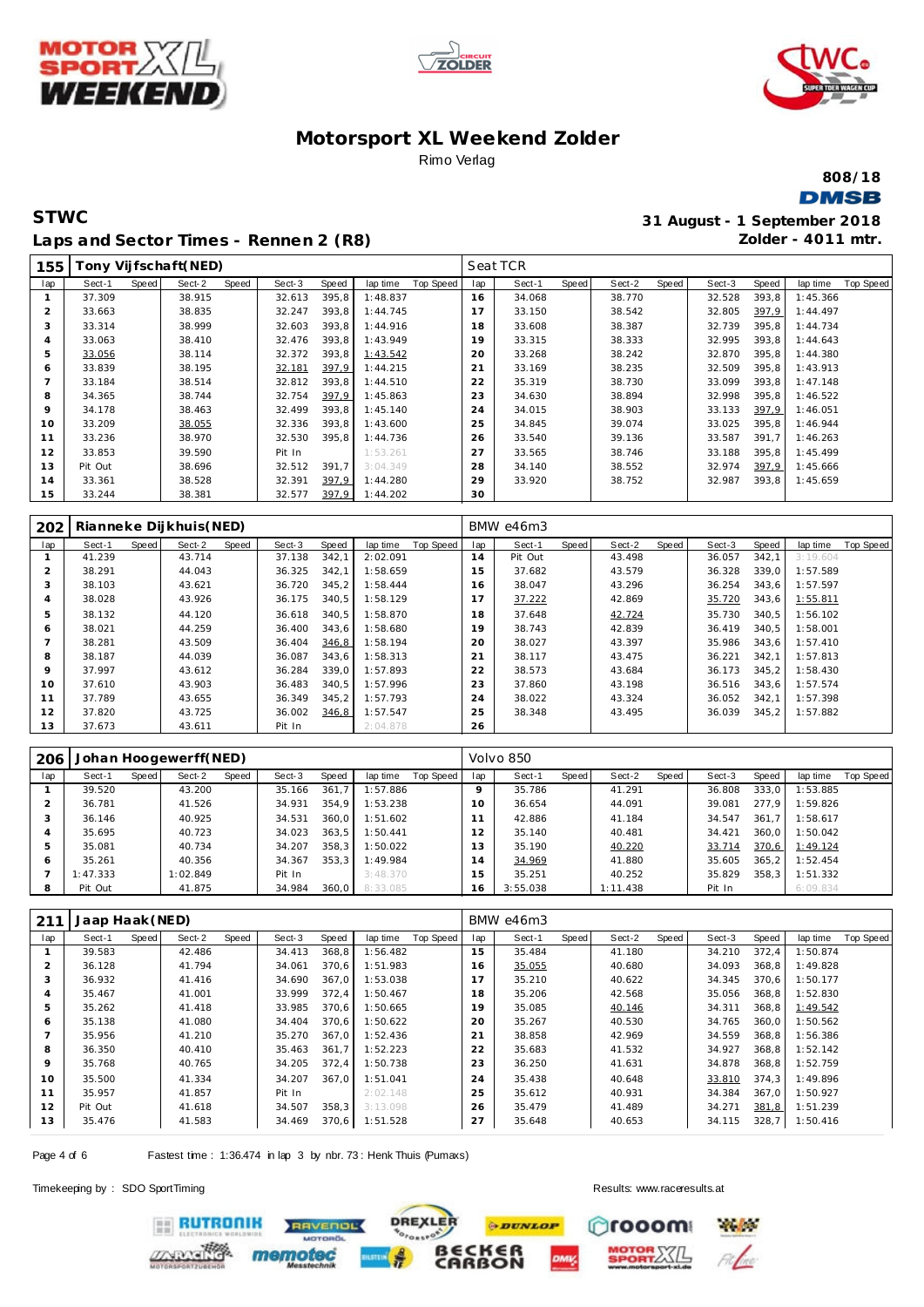





**808/18 DMSB** 

### **STWC 31 August - 1 September 2018 Laps and Sector Times - Rennen 2 (R8)**

**Zolder - 4011 mtr.**

| 155 |         |       | [ony Vijfschaft(NED) |       |        |       |          |           |     | Seat TCR |       |        |       |        |       |          |           |
|-----|---------|-------|----------------------|-------|--------|-------|----------|-----------|-----|----------|-------|--------|-------|--------|-------|----------|-----------|
| lap | Sect-1  | Speed | Sect-2               | Speed | Sect-3 | Speed | lap time | Top Speed | lap | Sect-1   | Speed | Sect-2 | Speed | Sect-3 | Speed | lap time | Top Speed |
|     | 37.309  |       | 38.915               |       | 32.613 | 395.8 | 1:48.837 |           | 16  | 34.068   |       | 38.770 |       | 32.528 | 393,8 | 1:45.366 |           |
|     | 33.663  |       | 38.835               |       | 32.247 | 393.8 | 1:44.745 |           | 17  | 33.150   |       | 38.542 |       | 32.805 | 397,9 | 1:44.497 |           |
|     | 33.314  |       | 38.999               |       | 32.603 | 393.8 | 1:44.916 |           | 18  | 33.608   |       | 38.387 |       | 32.739 | 395,8 | 1:44.734 |           |
| 4   | 33.063  |       | 38.410               |       | 32.476 | 393,8 | 1:43.949 |           | 19  | 33.315   |       | 38.333 |       | 32.995 | 393,8 | 1:44.643 |           |
| 5   | 33.056  |       | 38.114               |       | 32.372 | 393.8 | 1:43.542 |           | 20  | 33.268   |       | 38.242 |       | 32.870 | 395,8 | 1:44.380 |           |
| 6   | 33.839  |       | 38.195               |       | 32.181 | 397,9 | 1:44.215 |           | 21  | 33.169   |       | 38.235 |       | 32.509 | 395,8 | 1:43.913 |           |
|     | 33.184  |       | 38.514               |       | 32.812 | 393,8 | 1:44.510 |           | 22  | 35.319   |       | 38.730 |       | 33.099 | 393,8 | 1:47.148 |           |
| 8   | 34.365  |       | 38.744               |       | 32.754 | 397.9 | 1:45.863 |           | 23  | 34.630   |       | 38.894 |       | 32.998 | 395,8 | 1:46.522 |           |
| 9   | 34.178  |       | 38.463               |       | 32.499 | 393.8 | 1:45.140 |           | 24  | 34.015   |       | 38.903 |       | 33.133 | 397,9 | 1:46.051 |           |
| 10  | 33.209  |       | 38.055               |       | 32.336 | 393.8 | 1:43.600 |           | 25  | 34.845   |       | 39.074 |       | 33.025 | 395,8 | 1:46.944 |           |
| 11  | 33.236  |       | 38.970               |       | 32.530 | 395.8 | 1:44.736 |           | 26  | 33.540   |       | 39.136 |       | 33.587 | 391,7 | 1:46.263 |           |
| 12  | 33.853  |       | 39.590               |       | Pit In |       | 1:53.261 |           | 27  | 33.565   |       | 38.746 |       | 33.188 | 395,8 | 1:45.499 |           |
| 13  | Pit Out |       | 38.696               |       | 32.512 | 391,7 | 3:04.349 |           | 28  | 34.140   |       | 38.552 |       | 32.974 | 397.9 | 1:45.666 |           |
| 14  | 33.361  |       | 38.528               |       | 32.391 | 397,9 | 1:44.280 |           | 29  | 33.920   |       | 38.752 |       | 32.987 | 393,8 | 1:45.659 |           |
| 15  | 33.244  |       | 38.381               |       | 32.577 | 397.9 | 1:44.202 |           | 30  |          |       |        |       |        |       |          |           |

| 202     |        |       | Rianneke Dijkhuis (NED) |       |        |       |          |           |     | BMW e46m3 |       |        |       |        |       |          |           |
|---------|--------|-------|-------------------------|-------|--------|-------|----------|-----------|-----|-----------|-------|--------|-------|--------|-------|----------|-----------|
| lap     | Sect-1 | Speed | Sect-2                  | Speed | Sect-3 | Speed | lap time | Top Speed | lap | Sect-1    | Speed | Sect-2 | Speed | Sect-3 | Speed | lap time | Top Speed |
|         | 41.239 |       | 43.714                  |       | 37.138 | 342,1 | 2:02.091 |           | 14  | Pit Out   |       | 43.498 |       | 36.057 | 342,1 | 3:19.604 |           |
|         | 38.291 |       | 44.043                  |       | 36.325 | 342,1 | 1:58.659 |           | 15  | 37.682    |       | 43.579 |       | 36.328 | 339,0 | 1:57.589 |           |
| 3       | 38.103 |       | 43.621                  |       | 36.720 | 345,2 | 1:58.444 |           | 16  | 38.047    |       | 43.296 |       | 36.254 | 343,6 | 1:57.597 |           |
| 4       | 38.028 |       | 43.926                  |       | 36.175 | 340,5 | 1:58.129 |           | 17  | 37.222    |       | 42.869 |       | 35.720 | 343,6 | 1:55.811 |           |
| 5       | 38.132 |       | 44.120                  |       | 36.618 | 340.5 | 1:58.870 |           | 18  | 37.648    |       | 42.724 |       | 35.730 | 340.5 | 1:56.102 |           |
| 6       | 38.021 |       | 44.259                  |       | 36.400 | 343.6 | 1:58.680 |           | 19  | 38.743    |       | 42.839 |       | 36.419 | 340.5 | 1:58.001 |           |
|         | 38.281 |       | 43.509                  |       | 36.404 | 346,8 | 1:58.194 |           | 20  | 38.027    |       | 43.397 |       | 35.986 | 343.6 | 1:57.410 |           |
| 8       | 38.187 |       | 44.039                  |       | 36.087 | 343.6 | 1:58.313 |           | 21  | 38.117    |       | 43.475 |       | 36.221 | 342.1 | 1:57.813 |           |
| $\circ$ | 37.997 |       | 43.612                  |       | 36.284 | 339.0 | 1:57.893 |           | 22  | 38.573    |       | 43.684 |       | 36.173 | 345.2 | 1:58.430 |           |
| 10      | 37.610 |       | 43.903                  |       | 36.483 | 340.5 | 1:57.996 |           | 23  | 37.860    |       | 43.198 |       | 36.516 | 343.6 | 1:57.574 |           |
| 11      | 37.789 |       | 43.655                  |       | 36.349 | 345.2 | 1:57.793 |           | 24  | 38.022    |       | 43.324 |       | 36.052 | 342.1 | 1:57.398 |           |
| 12      | 37.820 |       | 43.725                  |       | 36.002 | 346,8 | 1:57.547 |           | 25  | 38.348    |       | 43.495 |       | 36.039 | 345,2 | 1:57.882 |           |
| 13      | 37.673 |       | 43.611                  |       | Pit In |       | 2:04.878 |           | 26  |           |       |        |       |        |       |          |           |

| 206 |          |       | Johan Hoogewerff(NED) |       |        |       |          |           |           | Volvo 850 |       |          |       |        |       |          |                  |
|-----|----------|-------|-----------------------|-------|--------|-------|----------|-----------|-----------|-----------|-------|----------|-------|--------|-------|----------|------------------|
| lap | Sect-1   | Speed | Sect-2                | Speed | Sect-3 | Speed | lap time | Top Speed | lap       | Sect-1    | Speed | Sect-2   | Speed | Sect-3 | Speed | lap time | <b>Top Speed</b> |
|     | 39.520   |       | 43.200                |       | 35.166 | 361.7 | 1:57.886 |           | $\circ$   | 35.786    |       | 41.291   |       | 36.808 | 333.0 | 1:53.885 |                  |
|     | 36.781   |       | 41.526                |       | 34.931 | 354.9 | 1:53.238 |           |           | 36.654    |       | 44.091   |       | 39.081 | 277.9 | 1:59.826 |                  |
|     | 36.146   |       | 40.925                |       | 34.531 | 360.0 | 1:51.602 |           |           | 42.886    |       | 41.184   |       | 34.547 | 361.7 | 1:58.617 |                  |
|     | 35.695   |       | 40.723                |       | 34.023 | 363.5 | 1:50.441 |           |           | 35.140    |       | 40.481   |       | 34.421 | 360.0 | 1:50.042 |                  |
|     | 35.081   |       | 40.734                |       | 34.207 | 358.3 | 1:50.022 |           |           | 35.190    |       | 40.220   |       | 33.714 | 370.6 | 1:49.124 |                  |
| c   | 35.261   |       | 40.356                |       | 34.367 | 353.3 | 1:49.984 |           | $4 \cdot$ | 34.969    |       | 41.880   |       | 35.605 | 365.2 | 1:52.454 |                  |
|     | 1:47.333 |       | : 02.849              |       | Pit In |       | 3:48.370 |           | 15        | 35.251    |       | 40.252   |       | 35.829 | 358.3 | 1:51.332 |                  |
| 8   | Pit Out  |       | 41.875                |       | 34.984 | 360.0 | 8:33.085 |           | 16.       | 3:55.038  |       | 1:11.438 |       | Pit In |       | 6:09.834 |                  |

| 211            | Jaap Haak (NED) |       |        |       |        |       |          |           |     | BMW e46m3 |       |        |       |        |              |          |           |
|----------------|-----------------|-------|--------|-------|--------|-------|----------|-----------|-----|-----------|-------|--------|-------|--------|--------------|----------|-----------|
| lap            | Sect-1          | Speed | Sect-2 | Speed | Sect-3 | Speed | lap time | Top Speed | lap | Sect-1    | Speed | Sect-2 | Speed | Sect-3 | <b>Speed</b> | lap time | Top Speed |
|                | 39.583          |       | 42.486 |       | 34.413 | 368,8 | 1:56.482 |           | 15  | 35.484    |       | 41.180 |       | 34.210 | 372,4        | 1:50.874 |           |
| $\overline{2}$ | 36.128          |       | 41.794 |       | 34.061 | 370,6 | 1:51.983 |           | 16  | 35.055    |       | 40.680 |       | 34.093 | 368,8        | 1:49.828 |           |
| 3              | 36.932          |       | 41.416 |       | 34.690 | 367.0 | 1:53.038 |           | 17  | 35.210    |       | 40.622 |       | 34.345 | 370.6        | 1:50.177 |           |
| 4              | 35.467          |       | 41.001 |       | 33.999 | 372.4 | 1:50.467 |           | 18  | 35.206    |       | 42.568 |       | 35.056 | 368.8        | 1:52.830 |           |
| 5              | 35.262          |       | 41.418 |       | 33.985 | 370.6 | 1:50.665 |           | 19  | 35.085    |       | 40.146 |       | 34.311 | 368,8        | 1:49.542 |           |
| 6              | 35.138          |       | 41.080 |       | 34.404 | 370.6 | 1:50.622 |           | 20  | 35.267    |       | 40.530 |       | 34.765 | 360,0        | 1:50.562 |           |
|                | 35.956          |       | 41.210 |       | 35.270 | 367.0 | 1:52.436 |           | 21  | 38.858    |       | 42.969 |       | 34.559 | 368.8        | 1:56.386 |           |
| 8              | 36.350          |       | 40.410 |       | 35.463 | 361.7 | 1:52.223 |           | 22  | 35.683    |       | 41.532 |       | 34.927 | 368,8        | 1:52.142 |           |
| $\circ$        | 35.768          |       | 40.765 |       | 34.205 | 372,4 | 1:50.738 |           | 23  | 36.250    |       | 41.631 |       | 34.878 | 368,8        | 1:52.759 |           |
| 10             | 35.500          |       | 41.334 |       | 34.207 | 367.0 | 1:51.041 |           | 24  | 35.438    |       | 40.648 |       | 33.810 | 374,3        | 1:49.896 |           |
| 11             | 35.957          |       | 41.857 |       | Pit In |       | 2:02.148 |           | 25  | 35.612    |       | 40.931 |       | 34.384 | 367,0        | 1:50.927 |           |
| 12             | Pit Out         |       | 41.618 |       | 34.507 | 358,3 | 3:13.098 |           | 26  | 35.479    |       | 41.489 |       | 34.271 | 381,8        | 1:51.239 |           |
| 13             | 35.476          |       | 41.583 |       | 34.469 | 370,6 | 1:51.528 |           | 27  | 35.648    |       | 40.653 |       | 34.115 | 328,7        | 1:50.416 |           |

**DREXLER** 

Page 4 of 6 Fastest time : 1:36.474 in lap 3 by nbr. 73 : Henk Thuis (Pumaxs)

Timekeeping by : SDO SportTiming Results:<www.raceresults.at>





**ERUTRONIK** 

**TVENDL**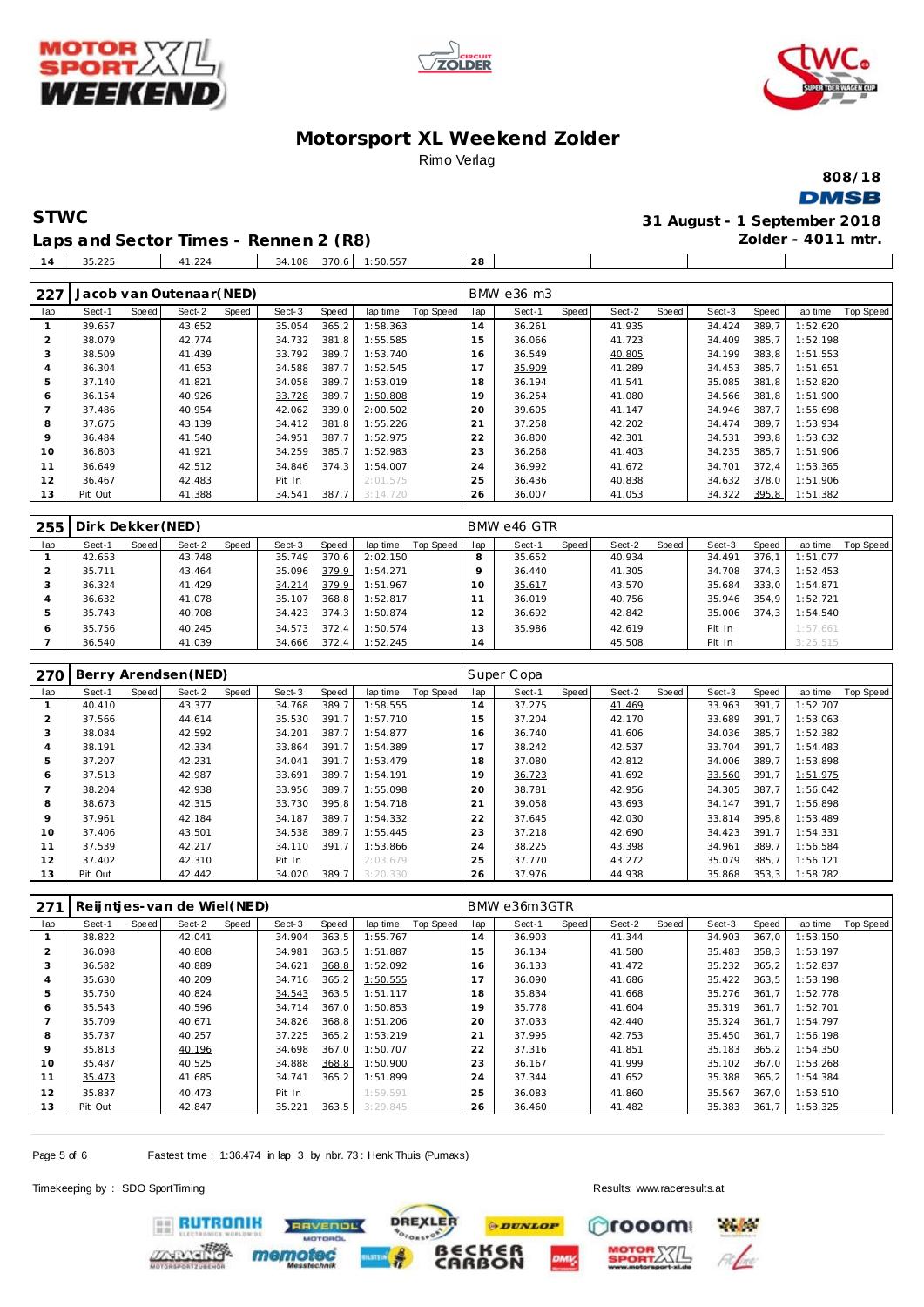





**808/18 DMSB** 

**STWC 31 August - 1 September 2018 Zolder - 4011 mtr.**

 $\overline{\phantom{a}}$ 

**Laps and Sector Times - Rennen 2 (R8)** 35.225 41.224 34.108 370,6 1:50.557 **28**

| 227            |         |       | Jacob van Outenaar (NED) |       |        |       |          |           |     | BMW e36 m3 |       |        |       |        |       |          |           |
|----------------|---------|-------|--------------------------|-------|--------|-------|----------|-----------|-----|------------|-------|--------|-------|--------|-------|----------|-----------|
| lap            | Sect-1  | Speed | Sect-2                   | Speed | Sect-3 | Speed | lap time | Top Speed | lap | Sect-1     | Speed | Sect-2 | Speed | Sect-3 | Speed | lap time | Top Speed |
|                | 39.657  |       | 43.652                   |       | 35.054 | 365,2 | 1:58.363 |           | 14  | 36.261     |       | 41.935 |       | 34.424 | 389.7 | 1:52.620 |           |
| $\overline{2}$ | 38.079  |       | 42.774                   |       | 34.732 | 381.8 | 1:55.585 |           | 15  | 36.066     |       | 41.723 |       | 34.409 | 385,7 | 1:52.198 |           |
| 3              | 38.509  |       | 41.439                   |       | 33.792 | 389.7 | 1:53.740 |           | 16  | 36.549     |       | 40.805 |       | 34.199 | 383.8 | 1:51.553 |           |
| 4              | 36.304  |       | 41.653                   |       | 34.588 | 387,7 | 1:52.545 |           | 17  | 35.909     |       | 41.289 |       | 34.453 | 385.7 | 1:51.651 |           |
| 5.             | 37.140  |       | 41.821                   |       | 34.058 | 389.7 | 1:53.019 |           | 18  | 36.194     |       | 41.541 |       | 35.085 | 381.8 | 1:52.820 |           |
| 6              | 36.154  |       | 40.926                   |       | 33.728 | 389.7 | 1:50.808 |           | 19  | 36.254     |       | 41.080 |       | 34.566 | 381,8 | 1:51.900 |           |
|                | 37.486  |       | 40.954                   |       | 42.062 | 339.0 | 2:00.502 |           | 20  | 39.605     |       | 41.147 |       | 34.946 | 387.7 | 1:55.698 |           |
| 8              | 37.675  |       | 43.139                   |       | 34.412 | 381.8 | 1:55.226 |           | 21  | 37.258     |       | 42.202 |       | 34.474 | 389.7 | 1:53.934 |           |
| $\circ$        | 36.484  |       | 41.540                   |       | 34.951 | 387.7 | 1:52.975 |           | 22  | 36.800     |       | 42.301 |       | 34.531 | 393.8 | 1:53.632 |           |
| 10             | 36.803  |       | 41.921                   |       | 34.259 | 385.7 | 1:52.983 |           | 23  | 36.268     |       | 41.403 |       | 34.235 | 385,7 | 1:51.906 |           |
|                | 36.649  |       | 42.512                   |       | 34.846 | 374.3 | 1:54.007 |           | 24  | 36.992     |       | 41.672 |       | 34.701 | 372.4 | 1:53.365 |           |
| 12             | 36.467  |       | 42.483                   |       | Pit In |       | 2:01.575 |           | 25  | 36.436     |       | 40.838 |       | 34.632 | 378,0 | 1:51.906 |           |
| 13             | Pit Out |       | 41.388                   |       | 34.541 | 387.7 | 3:14.720 |           | 26  | 36.007     |       | 41.053 |       | 34.322 | 395,8 | 1:51.382 |           |

| 255 | Dirk Dekker (NED) |       |        |       |        |       |          |           |     | BMW e46 GTR |       |        |       |        |       |          |           |
|-----|-------------------|-------|--------|-------|--------|-------|----------|-----------|-----|-------------|-------|--------|-------|--------|-------|----------|-----------|
| lap | Sect-1            | Speed | Sect-2 | Speed | Sect-3 | Speed | lap time | Top Speed | lap | Sect-1      | Speed | Sect-2 | Speed | Sect-3 | Speed | lap time | Top Speed |
|     | 42.653            |       | 43.748 |       | 35.749 | 370.6 | 2:02.150 |           |     | 35.652      |       | 40.934 |       | 34.491 | 376.7 | 1:51.077 |           |
|     | 35.711            |       | 43.464 |       | 35.096 | 379.9 | 1:54.271 |           |     | 36.440      |       | 41.305 |       | 34.708 | 374.3 | 1:52.453 |           |
|     | 36.324            |       | 41.429 |       | 34.214 | 379.9 | 1:51.967 |           | 10  | 35.617      |       | 43.570 |       | 35.684 | 333.0 | 1:54.871 |           |
|     | 36.632            |       | 41.078 |       | 35.107 | 368.8 | 1:52.817 |           |     | 36.019      |       | 40.756 |       | 35.946 | 354.9 | 1:52.721 |           |
|     | 35.743            |       | 40.708 |       | 34.423 | 374.3 | 1:50.874 |           |     | 36.692      |       | 42.842 |       | 35.006 | 374.3 | 1:54.540 |           |
| ō   | 35.756            |       | 40.245 |       | 34.573 | 372.4 | 1:50.574 |           | 3   | 35.986      |       | 42.619 |       | Pit In |       | 1:57.661 |           |
|     | 36.540            |       | 41.039 |       | 34.666 | 372.4 | 1:52.245 |           | 14  |             |       | 45.508 |       | Pit In |       | 3:25.515 |           |

| 270 |         |       | Berry Arendsen (NED) |       |        |       |          |           |                | Super Copa |       |        |       |        |       |          |                  |
|-----|---------|-------|----------------------|-------|--------|-------|----------|-----------|----------------|------------|-------|--------|-------|--------|-------|----------|------------------|
| lap | Sect-1  | Speed | Sect-2               | Speed | Sect-3 | Speed | lap time | Top Speed | lap            | Sect-1     | Speed | Sect-2 | Speed | Sect-3 | Speed | lap time | <b>Top Speed</b> |
|     | 40.410  |       | 43.377               |       | 34.768 | 389.7 | 1:58.555 |           | 14             | 37.275     |       | 41.469 |       | 33.963 | 391,7 | 1:52.707 |                  |
|     | 37.566  |       | 44.614               |       | 35.530 | 391.7 | 1:57.710 |           | 15             | 37.204     |       | 42.170 |       | 33.689 | 391.7 | 1:53.063 |                  |
| 3   | 38.084  |       | 42.592               |       | 34.201 | 387.7 | 1:54.877 |           | 16             | 36.740     |       | 41.606 |       | 34.036 | 385,7 | 1:52.382 |                  |
| 4   | 38.191  |       | 42.334               |       | 33.864 | 391.7 | 1:54.389 |           |                | 38.242     |       | 42.537 |       | 33.704 | 391.7 | 1:54.483 |                  |
| 5   | 37.207  |       | 42.231               |       | 34.041 | 391.7 | 1:53.479 |           | 18             | 37.080     |       | 42.812 |       | 34.006 | 389,7 | 1:53.898 |                  |
| 6   | 37.513  |       | 42.987               |       | 33.691 | 389.7 | 1:54.191 |           | 19             | 36.723     |       | 41.692 |       | 33.560 | 391,7 | 1:51.975 |                  |
|     | 38.204  |       | 42.938               |       | 33.956 | 389.7 | 1:55.098 |           | 20             | 38.781     |       | 42.956 |       | 34.305 | 387,7 | 1:56.042 |                  |
| 8   | 38.673  |       | 42.315               |       | 33.730 | 395,8 | 1:54.718 |           | 2 <sup>1</sup> | 39.058     |       | 43.693 |       | 34.147 | 391.7 | 1:56.898 |                  |
| 9   | 37.961  |       | 42.184               |       | 34.187 | 389.7 | 1:54.332 |           | 22             | 37.645     |       | 42.030 |       | 33.814 | 395,8 | 1:53.489 |                  |
| 10  | 37.406  |       | 43.501               |       | 34.538 | 389.7 | 1:55.445 |           | 23             | 37.218     |       | 42.690 |       | 34.423 | 391.7 | 1:54.331 |                  |
| 11  | 37.539  |       | 42.217               |       | 34.110 | 391.7 | 1:53.866 |           | 24             | 38.225     |       | 43.398 |       | 34.961 | 389,7 | 1:56.584 |                  |
| 12  | 37.402  |       | 42.310               |       | Pit In |       | 2:03.679 |           | 25             | 37.770     |       | 43.272 |       | 35.079 | 385,7 | 1:56.121 |                  |
| 13  | Pit Out |       | 42.442               |       | 34.020 | 389,7 | 3:20.330 |           | 26             | 37.976     |       | 44.938 |       | 35.868 | 353,3 | 1:58.782 |                  |

| 271 |         |       | Reijntjes-van de Wiel (NED) |       |        |        |          |           |     | BMW e36m3GTR |       |        |       |        |        |          |                  |
|-----|---------|-------|-----------------------------|-------|--------|--------|----------|-----------|-----|--------------|-------|--------|-------|--------|--------|----------|------------------|
| lap | Sect-1  | Speed | Sect-2                      | Speed | Sect-3 | Speed  | lap time | Top Speed | lap | Sect-1       | Speed | Sect-2 | Speed | Sect-3 | Speed  | lap time | <b>Top Speed</b> |
|     | 38.822  |       | 42.041                      |       | 34.904 | 363,5  | 1:55.767 |           | 14  | 36.903       |       | 41.344 |       | 34.903 | 367,0  | 1:53.150 |                  |
|     | 36.098  |       | 40.808                      |       | 34.981 | 363.5  | 1:51.887 |           | 15  | 36.134       |       | 41.580 |       | 35.483 | 358.3  | 1:53.197 |                  |
| 3   | 36.582  |       | 40.889                      |       | 34.621 | 368,8  | 1:52.092 |           | 16  | 36.133       |       | 41.472 |       | 35.232 | 365.2  | 1:52.837 |                  |
| 4   | 35.630  |       | 40.209                      |       | 34.716 | 365, 2 | 1:50.555 |           |     | 36.090       |       | 41.686 |       | 35.422 | 363.5  | 1:53.198 |                  |
| 5   | 35.750  |       | 40.824                      |       | 34.543 | 363,5  | 1:51.117 |           | 18  | 35.834       |       | 41.668 |       | 35.276 | 361.7  | 1:52.778 |                  |
| 6   | 35.543  |       | 40.596                      |       | 34.714 | 367.0  | 1:50.853 |           | 19  | 35.778       |       | 41.604 |       | 35.319 | 361.7  | 1:52.701 |                  |
|     | 35.709  |       | 40.671                      |       | 34.826 | 368,8  | 1:51.206 |           | 20  | 37.033       |       | 42.440 |       | 35.324 | 361.7  | 1:54.797 |                  |
| 8   | 35.737  |       | 40.257                      |       | 37.225 | 365, 2 | 1:53.219 |           | 21  | 37.995       |       | 42.753 |       | 35.450 | 361.7  | 1:56.198 |                  |
| 9   | 35.813  |       | 40.196                      |       | 34.698 | 367.0  | 1:50.707 |           | 22  | 37.316       |       | 41.851 |       | 35.183 | 365, 2 | 1:54.350 |                  |
| 10  | 35.487  |       | 40.525                      |       | 34.888 | 368,8  | 1:50.900 |           | 23  | 36.167       |       | 41.999 |       | 35.102 | 367.0  | 1:53.268 |                  |
| 11  | 35.473  |       | 41.685                      |       | 34.741 | 365.2  | 1:51.899 |           | 24  | 37.344       |       | 41.652 |       | 35.388 | 365.2  | 1:54.384 |                  |
| 12  | 35.837  |       | 40.473                      |       | Pit In |        | 1:59.591 |           | 25  | 36.083       |       | 41.860 |       | 35.567 | 367.0  | 1:53.510 |                  |
| 13  | Pit Out |       | 42.847                      |       | 35.221 | 363,5  | 3:29.845 |           | 26  | 36.460       |       | 41.482 |       | 35.383 | 361.7  | 1:53.325 |                  |

Page 5 of 6 Fastest time : 1:36.474 in lap 3 by nbr. 73 : Henk Thuis (Pumaxs)

Timekeeping by : SDO SportTiming Results:<www.raceresults.at>





**ERUTRONIK**